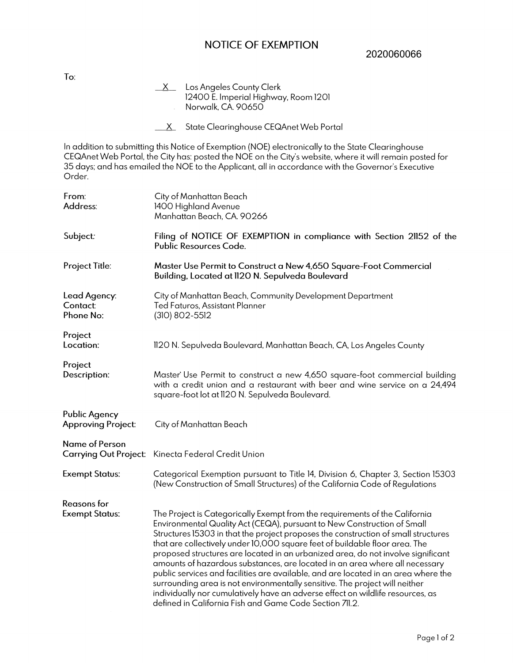## NOTICE OF EXEMPTION

2020060066

**To:** 

- $X$  Los Angeles County Clerk 12400 E. Imperial Highway, Room 1201 Norwalk, CA 90650  $\overline{\phantom{a}}$
- X State Clearinghouse CEQAnet Web Portal

In addition to submitting this Notice of Exemption (NOE) electronically to the State Clearinghouse CEQAnet Web Portal, the City has: posted the NOE on the City's website, where it will remain posted for 35 days; and has emailed the NOE to the Applicant, all in accordance with the Governor's Executive Order.

| From:<br>Address:                                 | City of Manhattan Beach<br>1400 Highland Avenue<br>Manhattan Beach, CA. 90266                                                                                                                                                                                                                                                                                                                                                                                                                                                                                                                                                                          |
|---------------------------------------------------|--------------------------------------------------------------------------------------------------------------------------------------------------------------------------------------------------------------------------------------------------------------------------------------------------------------------------------------------------------------------------------------------------------------------------------------------------------------------------------------------------------------------------------------------------------------------------------------------------------------------------------------------------------|
| Subject:                                          | Filing of NOTICE OF EXEMPTION in compliance with Section 21152 of the<br>Public Resources Code.                                                                                                                                                                                                                                                                                                                                                                                                                                                                                                                                                        |
| Project Title:                                    | Master Use Permit to Construct a New 4,650 Square-Foot Commercial<br>Building, Located at II20 N. Sepulveda Boulevard                                                                                                                                                                                                                                                                                                                                                                                                                                                                                                                                  |
| Lead Agency:<br><b>Contact:</b><br>Phone No:      | City of Manhattan Beach, Community Development Department<br>Ted Faturos, Assistant Planner<br>(310) 802-5512                                                                                                                                                                                                                                                                                                                                                                                                                                                                                                                                          |
| Project<br>Location:                              | 1120 N. Sepulveda Boulevard, Manhattan Beach, CA, Los Angeles County                                                                                                                                                                                                                                                                                                                                                                                                                                                                                                                                                                                   |
| Project<br>Description:                           | Master Use Permit to construct a new 4,650 square-foot commercial building<br>with a credit union and a restaurant with beer and wine service on a 24,494<br>square-foot lot at II20 N. Sepulveda Boulevard.                                                                                                                                                                                                                                                                                                                                                                                                                                           |
| <b>Public Agency</b><br><b>Approving Project:</b> | City of Manhattan Beach                                                                                                                                                                                                                                                                                                                                                                                                                                                                                                                                                                                                                                |
| Name of Person                                    | Carrying Out Project: Kinecta Federal Credit Union                                                                                                                                                                                                                                                                                                                                                                                                                                                                                                                                                                                                     |
| <b>Exempt Status:</b>                             | Categorical Exemption pursuant to Title 14, Division 6, Chapter 3, Section 15303<br>(New Construction of Small Structures) of the California Code of Regulations                                                                                                                                                                                                                                                                                                                                                                                                                                                                                       |
| <b>Reasons</b> for<br><b>Exempt Status:</b>       | The Project is Categorically Exempt from the requirements of the California<br>Environmental Quality Act (CEQA), pursuant to New Construction of Small                                                                                                                                                                                                                                                                                                                                                                                                                                                                                                 |
|                                                   | Structures 15303 in that the project proposes the construction of small structures<br>that are collectively under 10,000 square feet of buildable floor area. The<br>proposed structures are located in an urbanized area, do not involve significant<br>amounts of hazardous substances, are located in an area where all necessary<br>public services and facilities are available, and are located in an area where the<br>surrounding area is not environmentally sensitive. The project will neither<br>individually nor cumulatively have an adverse effect on wildlife resources, as<br>defined in California Fish and Game Code Section 711.2. |